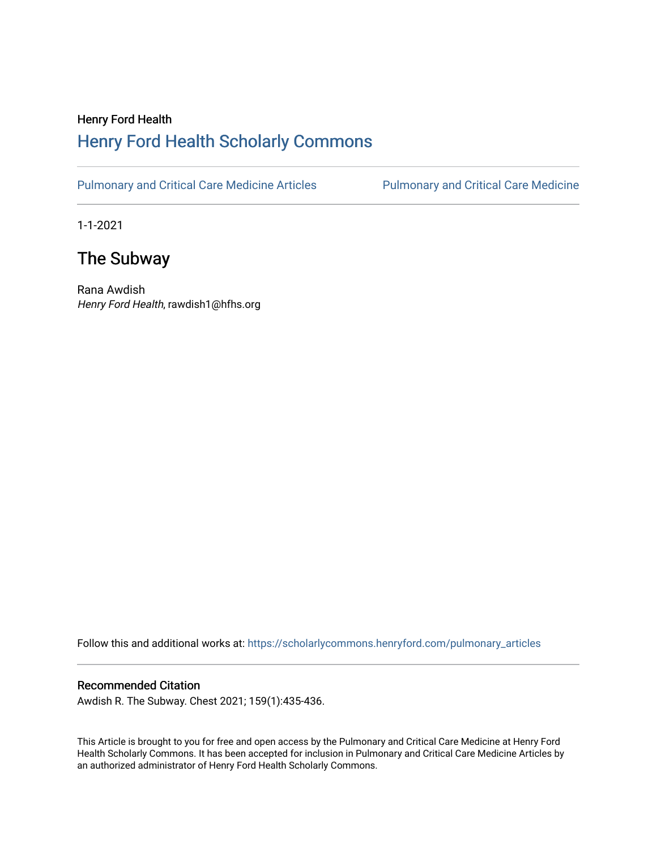## Henry Ford Health [Henry Ford Health Scholarly Commons](https://scholarlycommons.henryford.com/)

[Pulmonary and Critical Care Medicine Articles](https://scholarlycommons.henryford.com/pulmonary_articles) Pulmonary and Critical Care Medicine

1-1-2021

## The Subway

Rana Awdish Henry Ford Health, rawdish1@hfhs.org

Follow this and additional works at: [https://scholarlycommons.henryford.com/pulmonary\\_articles](https://scholarlycommons.henryford.com/pulmonary_articles?utm_source=scholarlycommons.henryford.com%2Fpulmonary_articles%2F122&utm_medium=PDF&utm_campaign=PDFCoverPages)

## Recommended Citation

Awdish R. The Subway. Chest 2021; 159(1):435-436.

This Article is brought to you for free and open access by the Pulmonary and Critical Care Medicine at Henry Ford Health Scholarly Commons. It has been accepted for inclusion in Pulmonary and Critical Care Medicine Articles by an authorized administrator of Henry Ford Health Scholarly Commons.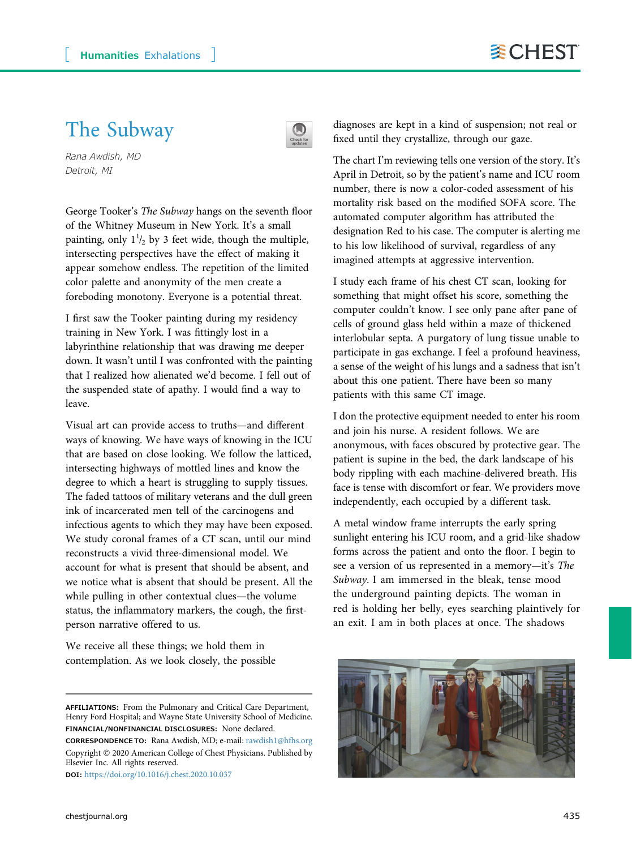## The Subway



Rana Awdish, MD Detroit, MI

George Tooker's The Subway hangs on the seventh floor of the Whitney Museum in New York. It's a small painting, only  $1\frac{1}{2}$  by 3 feet wide, though the multiple, intersecting perspectives have the effect of making it appear somehow endless. The repetition of the limited color palette and anonymity of the men create a foreboding monotony. Everyone is a potential threat.

I first saw the Tooker painting during my residency training in New York. I was fittingly lost in a labyrinthine relationship that was drawing me deeper down. It wasn't until I was confronted with the painting that I realized how alienated we'd become. I fell out of the suspended state of apathy. I would find a way to leave.

Visual art can provide access to truths—and different ways of knowing. We have ways of knowing in the ICU that are based on close looking. We follow the latticed, intersecting highways of mottled lines and know the degree to which a heart is struggling to supply tissues. The faded tattoos of military veterans and the dull green ink of incarcerated men tell of the carcinogens and infectious agents to which they may have been exposed. We study coronal frames of a CT scan, until our mind reconstructs a vivid three-dimensional model. We account for what is present that should be absent, and we notice what is absent that should be present. All the while pulling in other contextual clues—the volume status, the inflammatory markers, the cough, the firstperson narrative offered to us.

We receive all these things; we hold them in contemplation. As we look closely, the possible

Copyright 2020 American College of Chest Physicians. Published by Elsevier Inc. All rights reserved. DOI: <https://doi.org/10.1016/j.chest.2020.10.037>

diagnoses are kept in a kind of suspension; not real or fixed until they crystallize, through our gaze.

The chart I'm reviewing tells one version of the story. It's April in Detroit, so by the patient's name and ICU room number, there is now a color-coded assessment of his mortality risk based on the modified SOFA score. The automated computer algorithm has attributed the designation Red to his case. The computer is alerting me to his low likelihood of survival, regardless of any imagined attempts at aggressive intervention.

I study each frame of his chest CT scan, looking for something that might offset his score, something the computer couldn't know. I see only pane after pane of cells of ground glass held within a maze of thickened interlobular septa. A purgatory of lung tissue unable to participate in gas exchange. I feel a profound heaviness, a sense of the weight of his lungs and a sadness that isn't about this one patient. There have been so many patients with this same CT image.

I don the protective equipment needed to enter his room and join his nurse. A resident follows. We are anonymous, with faces obscured by protective gear. The patient is supine in the bed, the dark landscape of his body rippling with each machine-delivered breath. His face is tense with discomfort or fear. We providers move independently, each occupied by a different task.

A metal window frame interrupts the early spring sunlight entering his ICU room, and a grid-like shadow forms across the patient and onto the floor. I begin to see a version of us represented in a memory—it's The Subway. I am immersed in the bleak, tense mood the underground painting depicts. The woman in red is holding her belly, eyes searching plaintively for an exit. I am in both places at once. The shadows



AFFILIATIONS: From the Pulmonary and Critical Care Department, Henry Ford Hospital; and Wayne State University School of Medicine. FINANCIAL/NONFINANCIAL DISCLOSURES: None declared. CORRESPONDENCE TO: Rana Awdish, MD; e-mail: [rawdish1@hfhs.org](mailto:rawdish1@hfhs.org)